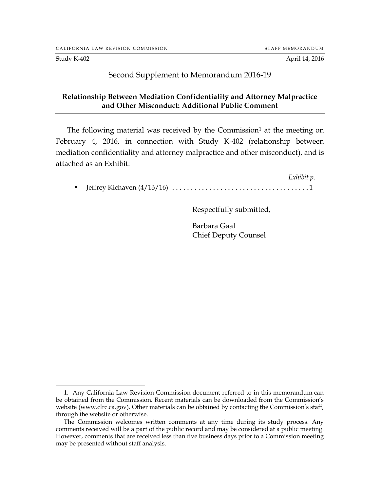$\overline{a}$ 

Study K-402 **April 14, 2016** 

## Second Supplement to Memorandum 2016-19

## **Relationship Between Mediation Confidentiality and Attorney Malpractice and Other Misconduct: Additional Public Comment**

The following material was received by the Commission<sup>1</sup> at the meeting on February 4, 2016, in connection with Study K-402 (relationship between mediation confidentiality and attorney malpractice and other misconduct), and is attached as an Exhibit:

*Exhibit p.* • Jeffrey Kichaven (4/13/16) .....................................1

Respectfully submitted,

Barbara Gaal Chief Deputy Counsel

<sup>1.</sup> Any California Law Revision Commission document referred to in this memorandum can be obtained from the Commission. Recent materials can be downloaded from the Commission's website (www.clrc.ca.gov). Other materials can be obtained by contacting the Commission's staff, through the website or otherwise.

The Commission welcomes written comments at any time during its study process. Any comments received will be a part of the public record and may be considered at a public meeting. However, comments that are received less than five business days prior to a Commission meeting may be presented without staff analysis.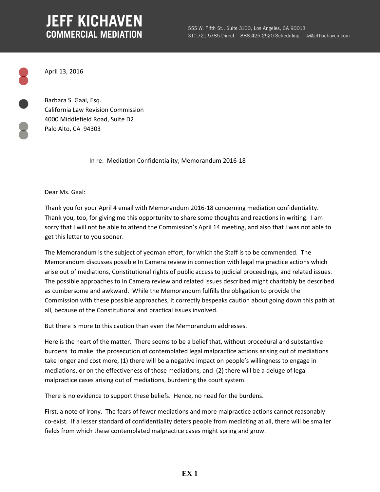## **JEFF KICHAVEN COMMERCIAL MEDIATION**

April 13, 2016

Barbara S. Gaal, Esq. California Law Revision Commission 4000 Middlefield Road, Suite D2 Palo Alto, CA 94303

In re: Mediation Confidentiality; Memorandum 2016‐18

Dear Ms. Gaal:

Thank you for your April 4 email with Memorandum 2016‐18 concerning mediation confidentiality. Thank you, too, for giving me this opportunity to share some thoughts and reactions in writing. I am sorry that I will not be able to attend the Commission's April 14 meeting, and also that I was not able to get this letter to you sooner.

The Memorandum is the subject of yeoman effort, for which the Staff is to be commended. The Memorandum discusses possible In Camera review in connection with legal malpractice actions which arise out of mediations, Constitutional rights of public access to judicial proceedings, and related issues. The possible approaches to In Camera review and related issues described might charitably be described as cumbersome and awkward. While the Memorandum fulfills the obligation to provide the Commission with these possible approaches, it correctly bespeaks caution about going down this path at all, because of the Constitutional and practical issues involved.

But there is more to this caution than even the Memorandum addresses.

Here is the heart of the matter. There seems to be a belief that, without procedural and substantive burdens to make the prosecution of contemplated legal malpractice actions arising out of mediations take longer and cost more, (1) there will be a negative impact on people's willingness to engage in mediations, or on the effectiveness of those mediations, and (2) there will be a deluge of legal malpractice cases arising out of mediations, burdening the court system.

There is no evidence to support these beliefs. Hence, no need for the burdens.

First, a note of irony. The fears of fewer mediations and more malpractice actions cannot reasonably co‐exist. If a lesser standard of confidentiality deters people from mediating at all, there will be smaller fields from which these contemplated malpractice cases might spring and grow.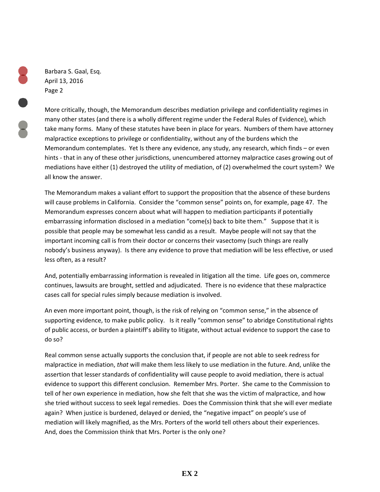Barbara S. Gaal, Esq. April 13, 2016 Page 2

More critically, though, the Memorandum describes mediation privilege and confidentiality regimes in many other states (and there is a wholly different regime under the Federal Rules of Evidence), which take many forms. Many of these statutes have been in place for years. Numbers of them have attorney malpractice exceptions to privilege or confidentiality, without any of the burdens which the Memorandum contemplates. Yet Is there any evidence, any study, any research, which finds – or even hints - that in any of these other jurisdictions, unencumbered attorney malpractice cases growing out of mediations have either (1) destroyed the utility of mediation, of (2) overwhelmed the court system? We all know the answer.

The Memorandum makes a valiant effort to support the proposition that the absence of these burdens will cause problems in California. Consider the "common sense" points on, for example, page 47. The Memorandum expresses concern about what will happen to mediation participants if potentially embarrassing information disclosed in a mediation "come(s) back to bite them." Suppose that it is possible that people may be somewhat less candid as a result. Maybe people will not say that the important incoming call is from their doctor or concerns their vasectomy (such things are really nobody's business anyway). Is there any evidence to prove that mediation will be less effective, or used less often, as a result?

And, potentially embarrassing information is revealed in litigation all the time. Life goes on, commerce continues, lawsuits are brought, settled and adjudicated. There is no evidence that these malpractice cases call for special rules simply because mediation is involved.

An even more important point, though, is the risk of relying on "common sense," in the absence of supporting evidence, to make public policy. Is it really "common sense" to abridge Constitutional rights of public access, or burden a plaintiff's ability to litigate, without actual evidence to support the case to do so?

Real common sense actually supports the conclusion that, if people are not able to seek redress for malpractice in mediation, *that* will make them less likely to use mediation in the future. And, unlike the assertion that lesser standards of confidentiality will cause people to avoid mediation, there is actual evidence to support this different conclusion. Remember Mrs. Porter. She came to the Commission to tell of her own experience in mediation, how she felt that she was the victim of malpractice, and how she tried without success to seek legal remedies. Does the Commission think that she will ever mediate again? When justice is burdened, delayed or denied, the "negative impact" on people's use of mediation will likely magnified, as the Mrs. Porters of the world tell others about their experiences. And, does the Commission think that Mrs. Porter is the only one?